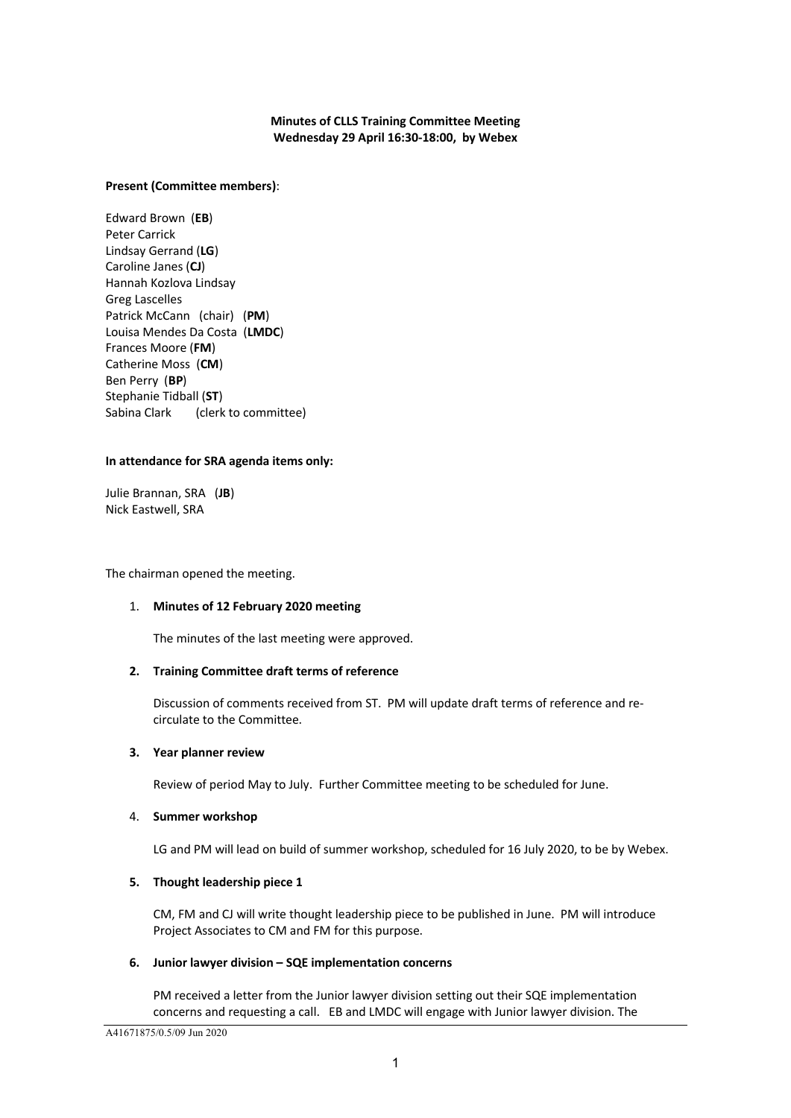# **Minutes of CLLS Training Committee Meeting Wednesday 29 April 16:30-18:00, by Webex**

## **Present (Committee members)**:

Edward Brown (**EB**) Peter Carrick Lindsay Gerrand (**LG**) Caroline Janes (**CJ**) Hannah Kozlova Lindsay Greg Lascelles Patrick McCann (chair) (**PM**) Louisa Mendes Da Costa (**LMDC**) Frances Moore (**FM**) Catherine Moss (**CM**) Ben Perry (**BP**) Stephanie Tidball (**ST**) Sabina Clark (clerk to committee)

### **In attendance for SRA agenda items only:**

Julie Brannan, SRA (**JB**) Nick Eastwell, SRA

The chairman opened the meeting.

### 1. **Minutes of 12 February 2020 meeting**

The minutes of the last meeting were approved.

# **2. Training Committee draft terms of reference**

Discussion of comments received from ST. PM will update draft terms of reference and recirculate to the Committee.

### **3. Year planner review**

Review of period May to July. Further Committee meeting to be scheduled for June.

### 4. **Summer workshop**

LG and PM will lead on build of summer workshop, scheduled for 16 July 2020, to be by Webex.

### **5. Thought leadership piece 1**

CM, FM and CJ will write thought leadership piece to be published in June. PM will introduce Project Associates to CM and FM for this purpose.

### **6. Junior lawyer division – SQE implementation concerns**

PM received a letter from the Junior lawyer division setting out their SQE implementation concerns and requesting a call. EB and LMDC will engage with Junior lawyer division. The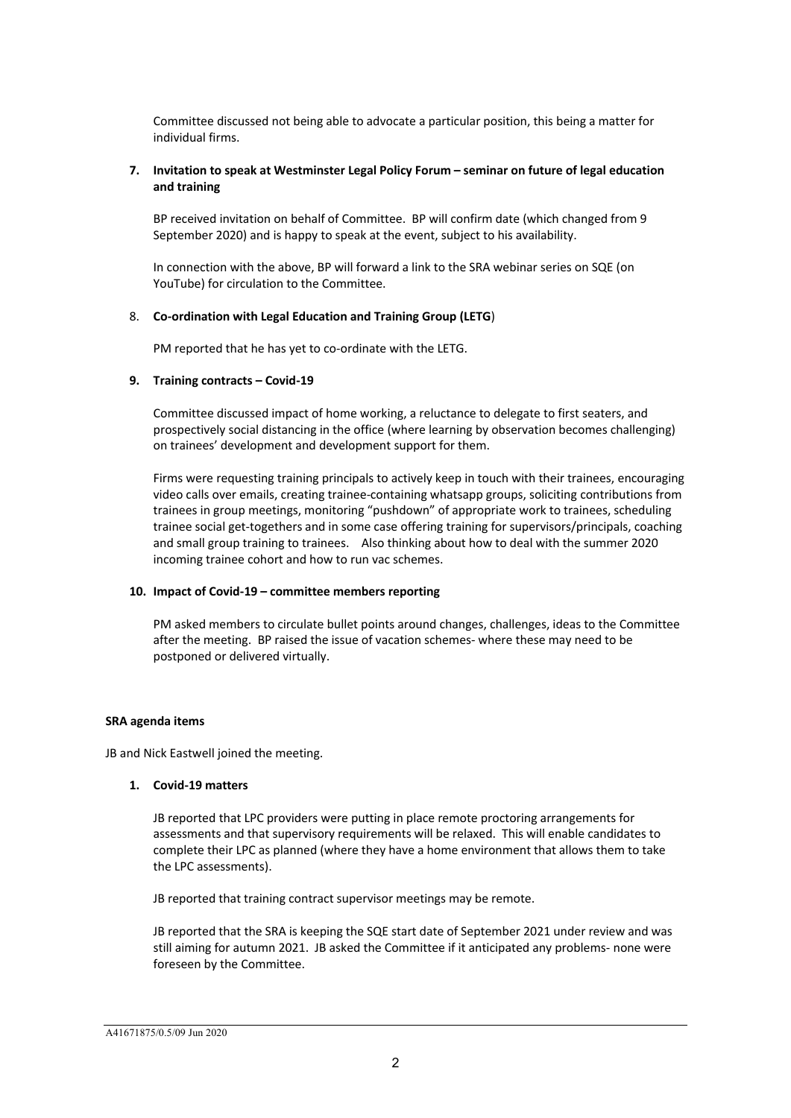Committee discussed not being able to advocate a particular position, this being a matter for individual firms.

## **7. Invitation to speak at Westminster Legal Policy Forum – seminar on future of legal education and training**

BP received invitation on behalf of Committee. BP will confirm date (which changed from 9 September 2020) and is happy to speak at the event, subject to his availability.

In connection with the above, BP will forward a link to the SRA webinar series on SQE (on YouTube) for circulation to the Committee.

### 8. **Co-ordination with Legal Education and Training Group (LETG**)

PM reported that he has yet to co-ordinate with the LETG.

### **9. Training contracts – Covid-19**

Committee discussed impact of home working, a reluctance to delegate to first seaters, and prospectively social distancing in the office (where learning by observation becomes challenging) on trainees' development and development support for them.

Firms were requesting training principals to actively keep in touch with their trainees, encouraging video calls over emails, creating trainee-containing whatsapp groups, soliciting contributions from trainees in group meetings, monitoring "pushdown" of appropriate work to trainees, scheduling trainee social get-togethers and in some case offering training for supervisors/principals, coaching and small group training to trainees. Also thinking about how to deal with the summer 2020 incoming trainee cohort and how to run vac schemes.

### **10. Impact of Covid-19 – committee members reporting**

PM asked members to circulate bullet points around changes, challenges, ideas to the Committee after the meeting. BP raised the issue of vacation schemes- where these may need to be postponed or delivered virtually.

### **SRA agenda items**

JB and Nick Eastwell joined the meeting.

### **1. Covid-19 matters**

JB reported that LPC providers were putting in place remote proctoring arrangements for assessments and that supervisory requirements will be relaxed. This will enable candidates to complete their LPC as planned (where they have a home environment that allows them to take the LPC assessments).

JB reported that training contract supervisor meetings may be remote.

JB reported that the SRA is keeping the SQE start date of September 2021 under review and was still aiming for autumn 2021. JB asked the Committee if it anticipated any problems- none were foreseen by the Committee.